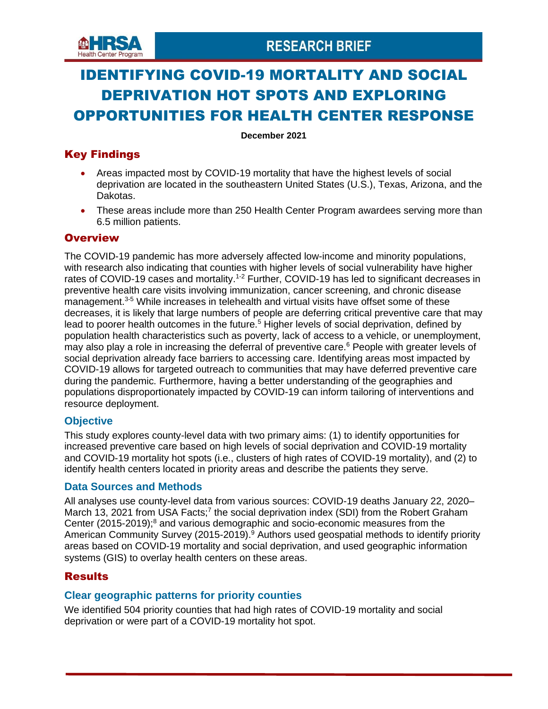

# IDENTIFYING COVID-19 MORTALITY AND SOCIAL DEPRIVATION HOT SPOTS AND EXPLORING OPPORTUNITIES FOR HEALTH CENTER RESPONSE

**December 2021**

# Key Findings

- Areas impacted most by COVID-19 mortality that have the highest levels of social deprivation are located in the southeastern United States (U.S.), Texas, Arizona, and the Dakotas.
- These areas include more than 250 Health Center Program awardees serving more than 6.5 million patients.

# **Overview**

The COVID-19 pandemic has more adversely affected low-income and minority populations, with research also indicating that counties with higher levels of social vulnerability have higher rates of COVID-19 cases and mortality.<sup>1-2</sup> Further, COVID-19 has led to significant decreases in preventive health care visits involving immunization, cancer screening, and chronic disease management.<sup>3-5</sup> While increases in telehealth and virtual visits have offset some of these decreases, it is likely that large numbers of people are deferring critical preventive care that may lead to poorer health outcomes in the future.<sup>5</sup> Higher levels of social deprivation, defined by population health characteristics such as poverty, lack of access to a vehicle, or unemployment, may also play a role in increasing the deferral of preventive care.<sup>6</sup> People with greater levels of social deprivation already face barriers to accessing care. Identifying areas most impacted by COVID-19 allows for targeted outreach to communities that may have deferred preventive care during the pandemic. Furthermore, having a better understanding of the geographies and populations disproportionately impacted by COVID-19 can inform tailoring of interventions and resource deployment.

# **Objective**

This study explores county-level data with two primary aims: (1) to identify opportunities for increased preventive care based on high levels of social deprivation and COVID-19 mortality and COVID-19 mortality hot spots (i.e., clusters of high rates of COVID-19 mortality), and (2) to identify health centers located in priority areas and describe the patients they serve.

# **Data Sources and Methods**

All analyses use county-level data from various sources: COVID-19 deaths January 22, 2020– March 13, 2021 from USA Facts;<sup>7</sup> the social deprivation index (SDI) from the Robert Graham Center (2015-2019);<sup>8</sup> and various demographic and socio-economic measures from the American Community Survey (2015-2019).<sup>9</sup> Authors used geospatial methods to identify priority areas based on COVID-19 mortality and social deprivation, and used geographic information systems (GIS) to overlay health centers on these areas.

# **Results**

# **Clear geographic patterns for priority counties**

We identified 504 priority counties that had high rates of COVID-19 mortality and social deprivation or were part of a COVID-19 mortality hot spot.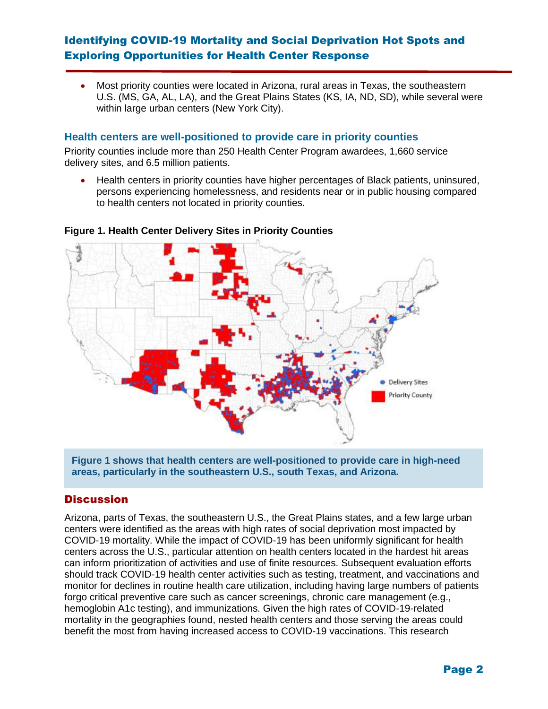# Identifying COVID-19 Mortality and Social Deprivation Hot Spots and Exploring Opportunities for Health Center Response

• Most priority counties were located in Arizona, rural areas in Texas, the southeastern U.S. (MS, GA, AL, LA), and the Great Plains States (KS, IA, ND, SD), while several were within large urban centers (New York City).

#### **Health centers are well-positioned to provide care in priority counties**

Priority counties include more than 250 Health Center Program awardees, 1,660 service delivery sites, and 6.5 million patients.

• Health centers in priority counties have higher percentages of Black patients, uninsured, persons experiencing homelessness, and residents near or in public housing compared to health centers not located in priority counties.



#### **Figure 1. Health Center Delivery Sites in Priority Counties**

**Figure 1 shows that health centers are well-positioned to provide care in high-need areas, particularly in the southeastern U.S., south Texas, and Arizona.**

### **Discussion**

Arizona, parts of Texas, the southeastern U.S., the Great Plains states, and a few large urban centers were identified as the areas with high rates of social deprivation most impacted by COVID-19 mortality. While the impact of COVID-19 has been uniformly significant for health centers across the U.S., particular attention on health centers located in the hardest hit areas can inform prioritization of activities and use of finite resources. Subsequent evaluation efforts should track COVID-19 health center activities such as testing, treatment, and vaccinations and monitor for declines in routine health care utilization, including having large numbers of patients forgo critical preventive care such as cancer screenings, chronic care management (e.g., hemoglobin A1c testing), and immunizations. Given the high rates of COVID-19-related mortality in the geographies found, nested health centers and those serving the areas could benefit the most from having increased access to COVID-19 vaccinations. This research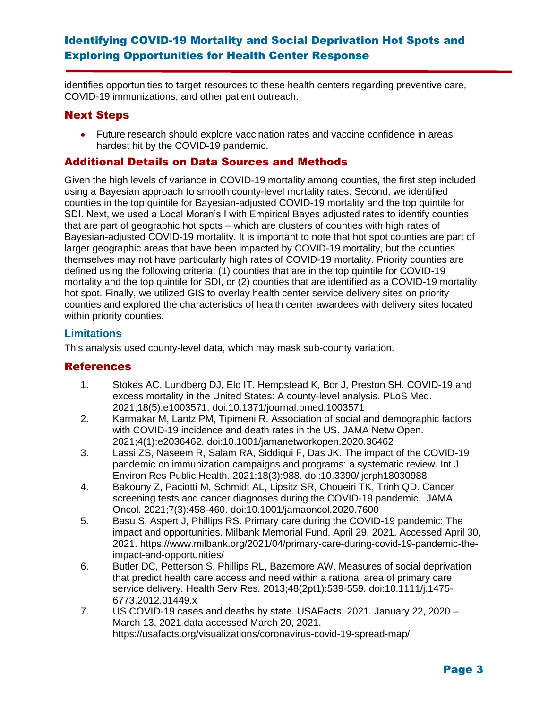# Identifying COVID-19 Mortality and Social Deprivation Hot Spots and Exploring Opportunities for Health Center Response

identifies opportunities to target resources to these health centers regarding preventive care, COVID-19 immunizations, and other patient outreach.

## Next Steps

• Future research should explore vaccination rates and vaccine confidence in areas hardest hit by the COVID-19 pandemic.

## Additional Details on Data Sources and Methods

Given the high levels of variance in COVID-19 mortality among counties, the first step included using a Bayesian approach to smooth county-level mortality rates. Second, we identified counties in the top quintile for Bayesian-adjusted COVID-19 mortality and the top quintile for SDI. Next, we used a Local Moran's I with Empirical Bayes adjusted rates to identify counties that are part of geographic hot spots – which are clusters of counties with high rates of Bayesian-adjusted COVID-19 mortality. It is important to note that hot spot counties are part of larger geographic areas that have been impacted by COVID-19 mortality, but the counties themselves may not have particularly high rates of COVID-19 mortality. Priority counties are defined using the following criteria: (1) counties that are in the top quintile for COVID-19 mortality and the top quintile for SDI, or (2) counties that are identified as a COVID-19 mortality hot spot. Finally, we utilized GIS to overlay health center service delivery sites on priority counties and explored the characteristics of health center awardees with delivery sites located within priority counties.

### **Limitations**

This analysis used county-level data, which may mask sub-county variation.

# **References**

- 1. Stokes AC, Lundberg DJ, Elo IT, Hempstead K, Bor J, Preston SH. COVID-19 and excess mortality in the United States: A county-level analysis. PLoS Med. 2021;18(5):e1003571. doi:10.1371/journal.pmed.1003571
- 2. Karmakar M, Lantz PM, Tipimeni R. Association of social and demographic factors with COVID-19 incidence and death rates in the US. JAMA Netw Open. 2021;4(1):e2036462. doi:10.1001/jamanetworkopen.2020.36462
- 3. Lassi ZS, Naseem R, Salam RA, Siddiqui F, Das JK. The impact of the COVID-19 pandemic on immunization campaigns and programs: a systematic review. Int J Environ Res Public Health. 2021;18(3):988. doi:10.3390/ijerph18030988
- 4. Bakouny Z, Paciotti M, Schmidt AL, Lipsitz SR, Choueiri TK, Trinh QD. Cancer screening tests and cancer diagnoses during the COVID-19 pandemic. JAMA Oncol. 2021;7(3):458-460. doi:10.1001/jamaoncol.2020.7600
- 5. Basu S, Aspert J, Phillips RS. Primary care during the COVID-19 pandemic: The impact and opportunities. Milbank Memorial Fund. April 29, 2021. Accessed April 30, 2021. https://www.milbank.org/2021/04/primary-care-during-covid-19-pandemic-theimpact-and-opportunities/
- 6. Butler DC, Petterson S, Phillips RL, Bazemore AW. Measures of social deprivation that predict health care access and need within a rational area of primary care service delivery. Health Serv Res. 2013;48(2pt1):539-559. doi:10.1111/j.1475- 6773.2012.01449.x
- 7. US COVID-19 cases and deaths by state. USAFacts; 2021. January 22, 2020 March 13, 2021 data accessed March 20, 2021. https://usafacts.org/visualizations/coronavirus-covid-19-spread-map/